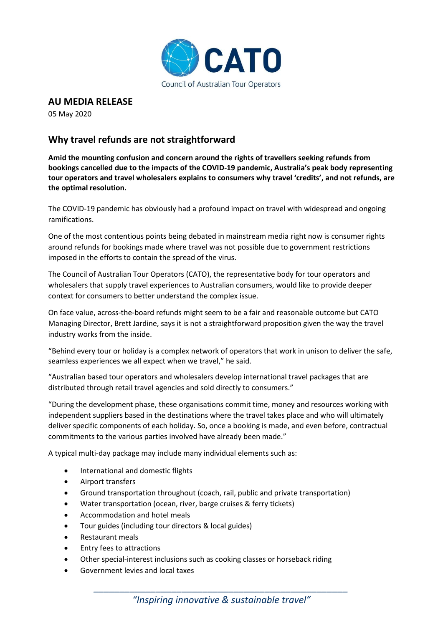

## **AU MEDIA RELEASE**

05 May 2020

## **Why travel refunds are not straightforward**

**Amid the mounting confusion and concern around the rights of travellers seeking refunds from bookings cancelled due to the impacts of the COVID-19 pandemic, Australia's peak body representing tour operators and travel wholesalers explains to consumers why travel 'credits', and not refunds, are the optimal resolution.**

The COVID-19 pandemic has obviously had a profound impact on travel with widespread and ongoing ramifications.

One of the most contentious points being debated in mainstream media right now is consumer rights around refunds for bookings made where travel was not possible due to government restrictions imposed in the efforts to contain the spread of the virus.

The Council of Australian Tour Operators (CATO), the representative body for tour operators and wholesalers that supply travel experiences to Australian consumers, would like to provide deeper context for consumers to better understand the complex issue.

On face value, across-the-board refunds might seem to be a fair and reasonable outcome but CATO Managing Director, Brett Jardine, says it is not a straightforward proposition given the way the travel industry works from the inside.

"Behind every tour or holiday is a complex network of operators that work in unison to deliver the safe, seamless experiences we all expect when we travel," he said.

"Australian based tour operators and wholesalers develop international travel packages that are distributed through retail travel agencies and sold directly to consumers."

"During the development phase, these organisations commit time, money and resources working with independent suppliers based in the destinations where the travel takes place and who will ultimately deliver specific components of each holiday. So, once a booking is made, and even before, contractual commitments to the various parties involved have already been made."

A typical multi-day package may include many individual elements such as:

- International and domestic flights
- Airport transfers
- Ground transportation throughout (coach, rail, public and private transportation)
- Water transportation (ocean, river, barge cruises & ferry tickets)
- Accommodation and hotel meals
- Tour guides (including tour directors & local guides)
- Restaurant meals
- Entry fees to attractions
- Other special-interest inclusions such as cooking classes or horseback riding
- Government levies and local taxes

*\_\_\_\_\_\_\_\_\_\_\_\_\_\_\_\_\_\_\_\_\_\_\_\_\_\_\_\_\_\_\_\_\_\_\_\_\_\_\_\_\_\_\_\_\_\_\_\_\_ "Inspiring innovative & sustainable travel"*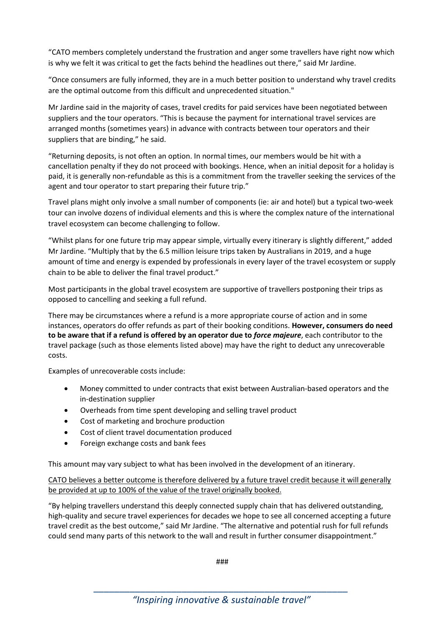"CATO members completely understand the frustration and anger some travellers have right now which is why we felt it was critical to get the facts behind the headlines out there," said Mr Jardine.

"Once consumers are fully informed, they are in a much better position to understand why travel credits are the optimal outcome from this difficult and unprecedented situation."

Mr Jardine said in the majority of cases, travel credits for paid services have been negotiated between suppliers and the tour operators. "This is because the payment for international travel services are arranged months (sometimes years) in advance with contracts between tour operators and their suppliers that are binding," he said.

"Returning deposits, is not often an option. In normal times, our members would be hit with a cancellation penalty if they do not proceed with bookings. Hence, when an initial deposit for a holiday is paid, it is generally non-refundable as this is a commitment from the traveller seeking the services of the agent and tour operator to start preparing their future trip."

Travel plans might only involve a small number of components (ie: air and hotel) but a typical two-week tour can involve dozens of individual elements and this is where the complex nature of the international travel ecosystem can become challenging to follow.

"Whilst plans for one future trip may appear simple, virtually every itinerary is slightly different," added Mr Jardine. "Multiply that by the 6.5 million leisure trips taken by Australians in 2019, and a huge amount of time and energy is expended by professionals in every layer of the travel ecosystem or supply chain to be able to deliver the final travel product."

Most participants in the global travel ecosystem are supportive of travellers postponing their trips as opposed to cancelling and seeking a full refund.

There may be circumstances where a refund is a more appropriate course of action and in some instances, operators do offer refunds as part of their booking conditions. **However, consumers do need to be aware that if a refund is offered by an operator due to** *force majeure*, each contributor to the travel package (such as those elements listed above) may have the right to deduct any unrecoverable costs.

Examples of unrecoverable costs include:

- Money committed to under contracts that exist between Australian-based operators and the in-destination supplier
- Overheads from time spent developing and selling travel product
- Cost of marketing and brochure production
- Cost of client travel documentation produced
- Foreign exchange costs and bank fees

This amount may vary subject to what has been involved in the development of an itinerary.

CATO believes a better outcome is therefore delivered by a future travel credit because it will generally be provided at up to 100% of the value of the travel originally booked.

"By helping travellers understand this deeply connected supply chain that has delivered outstanding, high-quality and secure travel experiences for decades we hope to see all concerned accepting a future travel credit as the best outcome," said Mr Jardine. "The alternative and potential rush for full refunds could send many parts of this network to the wall and result in further consumer disappointment."

###